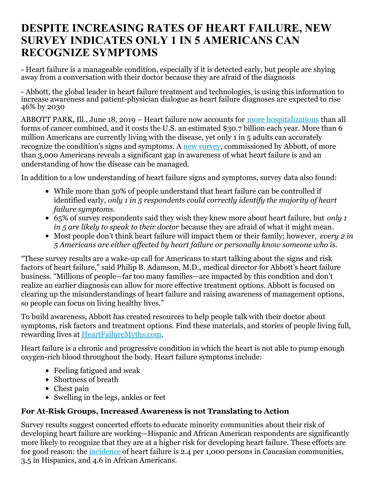# **DESPITE INCREASING RATES OF HEART FAILURE, NEW SURVEY INDICATES ONLY 1 IN 5 AMERICANS CAN RECOGNIZE SYMPTOMS**

- Heart failure is a manageable condition, especially if it is detected early, but people are shying away from a conversation with their doctor because they are afraid of the diagnosis

- Abbott, the global leader in heart failure treatment and technologies, is using this information to increase awareness and patient-physician dialogue as heart failure diagnoses are expected to rise 46% by 2030

ABBOTT PARK, Ill., June 18, 2019 – Heart failure now accounts for more [hospitalizations](https://www.emoryhealthcare.org/heart-vascular/wellness/heart-failure-statistics.html) than all forms of cancer combined, and it costs the U.S. an estimated \$30.7 billion each year. More than 6 million Americans are currently living with the disease, yet only 1 in 5 adults can accurately recognize the condition's signs and symptoms. A new [survey](https://www.cardiovascular.abbott/us/en/heart-failure-myths.html), commissioned by Abbott, of more than 3,000 Americans reveals a significant gap in awareness of what heart failure is and an understanding of how the disease can be managed.

In addition to a low understanding of heart failure signs and symptoms, survey data also found:

- While more than 50% of people understand that heart failure can be controlled if identified early*, only 1 in 5 respondents could correctly identify the majority of heart failure symptoms*.
- 65% of survey respondents said they wish they knew more about heart failure, but *only 1 in 5 are likely to speak to their doctor* because they are afraid of what it might mean*.*
- Most people don't think heart failure will impact them or their family; however, *every 2 in 5 Americans are either af ected by heart failure or personally know someone who is.*

"These survey results are a wake-up call for Americans to start talking about the signs and risk factors of heart failure," said Philip B. Adamson, M.D., medical director for Abbott's heart failure business. "Millions of people—far too many families—are impacted by this condition and don't realize an earlier diagnosis can allow for more effective treatment options. Abbott is focused on clearing up the misunderstandings of heart failure and raising awareness of management options, so people can focus on living healthy lives."

To build awareness, Abbott has created resources to help people talk with their doctor about symptoms, risk factors and treatment options. Find these materials, and stories of people living full, rewarding lives at [HeartFailureMyths.com](https://www.cardiovascular.abbott/us/en/heart-failure-myths.html).

Heart failure is a chronic and progressive condition in which the heart is not able to pump enough oxygen-rich blood throughout the body. Heart failure symptoms include:

- Feeling fatigued and weak
- Shortness of breath
- Chest pain
- Swelling in the legs, ankles or feet

# **For At-Risk Groups, Increased Awareness is not Translating to Action**

Survey results suggest concerted efforts to educate minority communities about their risk of developing heart failure are working—Hispanic and African American respondents are significantly more likely to recognize that they are at a higher risk for developing heart failure. These efforts are for good reason: the [incidence](http://www.abcardio.org/pdf/Yancy_Colvin.pdf) of heart failure is 2.4 per 1,000 persons in Caucasian communities, 3.5 in Hispanics, and 4.6 in African Americans.